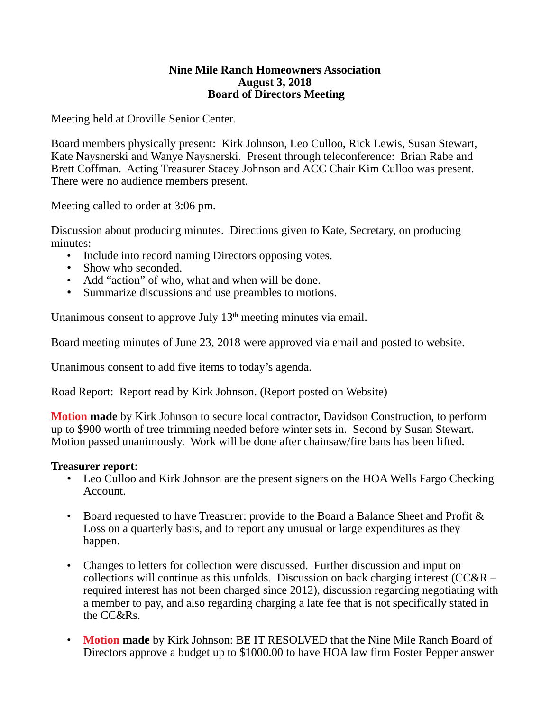#### **Nine Mile Ranch Homeowners Association August 3, 2018 Board of Directors Meeting**

Meeting held at Oroville Senior Center.

Board members physically present: Kirk Johnson, Leo Culloo, Rick Lewis, Susan Stewart, Kate Naysnerski and Wanye Naysnerski. Present through teleconference: Brian Rabe and Brett Coffman. Acting Treasurer Stacey Johnson and ACC Chair Kim Culloo was present. There were no audience members present.

Meeting called to order at 3:06 pm.

Discussion about producing minutes. Directions given to Kate, Secretary, on producing minutes:

- Include into record naming Directors opposing votes.
- Show who seconded.
- Add "action" of who, what and when will be done.
- Summarize discussions and use preambles to motions.

Unanimous consent to approve July  $13<sup>th</sup>$  meeting minutes via email.

Board meeting minutes of June 23, 2018 were approved via email and posted to website.

Unanimous consent to add five items to today's agenda.

Road Report: Report read by Kirk Johnson. (Report posted on Website)

**Motion made** by Kirk Johnson to secure local contractor, Davidson Construction, to perform up to \$900 worth of tree trimming needed before winter sets in. Second by Susan Stewart. Motion passed unanimously. Work will be done after chainsaw/fire bans has been lifted.

### **Treasurer report**:

- Leo Culloo and Kirk Johnson are the present signers on the HOA Wells Fargo Checking Account.
- Board requested to have Treasurer: provide to the Board a Balance Sheet and Profit & Loss on a quarterly basis, and to report any unusual or large expenditures as they happen.
- Changes to letters for collection were discussed. Further discussion and input on collections will continue as this unfolds. Discussion on back charging interest (CC&R – required interest has not been charged since 2012), discussion regarding negotiating with a member to pay, and also regarding charging a late fee that is not specifically stated in the CC&Rs.
- **Motion made** by Kirk Johnson: BE IT RESOLVED that the Nine Mile Ranch Board of Directors approve a budget up to \$1000.00 to have HOA law firm Foster Pepper answer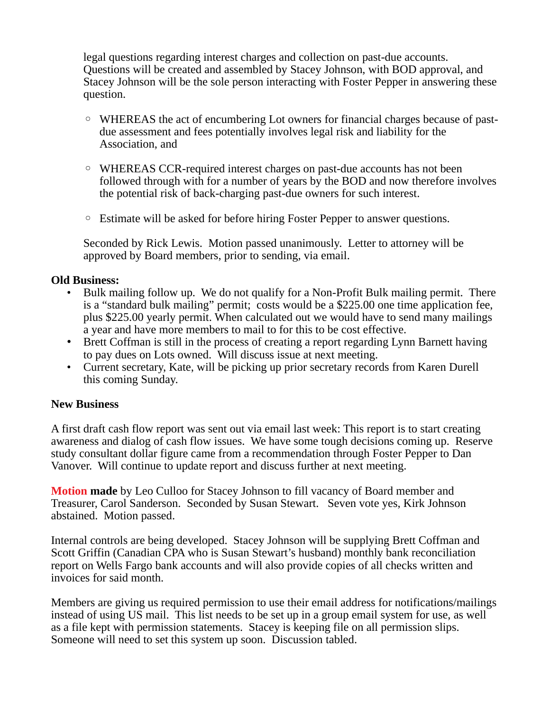legal questions regarding interest charges and collection on past-due accounts. Questions will be created and assembled by Stacey Johnson, with BOD approval, and Stacey Johnson will be the sole person interacting with Foster Pepper in answering these question.

- WHEREAS the act of encumbering Lot owners for financial charges because of pastdue assessment and fees potentially involves legal risk and liability for the Association, and
- WHEREAS CCR-required interest charges on past-due accounts has not been followed through with for a number of years by the BOD and now therefore involves the potential risk of back-charging past-due owners for such interest.
- Estimate will be asked for before hiring Foster Pepper to answer questions.

Seconded by Rick Lewis. Motion passed unanimously. Letter to attorney will be approved by Board members, prior to sending, via email.

### **Old Business:**

- Bulk mailing follow up. We do not qualify for a Non-Profit Bulk mailing permit. There is a "standard bulk mailing" permit; costs would be a \$225.00 one time application fee, plus \$225.00 yearly permit. When calculated out we would have to send many mailings a year and have more members to mail to for this to be cost effective.
- Brett Coffman is still in the process of creating a report regarding Lynn Barnett having to pay dues on Lots owned. Will discuss issue at next meeting.
- Current secretary, Kate, will be picking up prior secretary records from Karen Durell this coming Sunday.

## **New Business**

A first draft cash flow report was sent out via email last week: This report is to start creating awareness and dialog of cash flow issues. We have some tough decisions coming up. Reserve study consultant dollar figure came from a recommendation through Foster Pepper to Dan Vanover. Will continue to update report and discuss further at next meeting.

**Motion made** by Leo Culloo for Stacey Johnson to fill vacancy of Board member and Treasurer, Carol Sanderson. Seconded by Susan Stewart. Seven vote yes, Kirk Johnson abstained. Motion passed.

Internal controls are being developed. Stacey Johnson will be supplying Brett Coffman and Scott Griffin (Canadian CPA who is Susan Stewart's husband) monthly bank reconciliation report on Wells Fargo bank accounts and will also provide copies of all checks written and invoices for said month.

Members are giving us required permission to use their email address for notifications/mailings instead of using US mail. This list needs to be set up in a group email system for use, as well as a file kept with permission statements. Stacey is keeping file on all permission slips. Someone will need to set this system up soon. Discussion tabled.